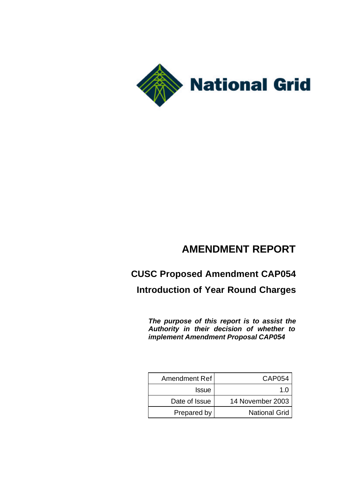

## **AMENDMENT REPORT**

# **CUSC Proposed Amendment CAP054 Introduction of Year Round Charges**

*The purpose of this report is to assist the Authority in their decision of whether to implement Amendment Proposal CAP054*

| Amendment Ref | CAP054               |
|---------------|----------------------|
| <b>Issue</b>  | 10                   |
| Date of Issue | 14 November 2003     |
| Prepared by   | <b>National Grid</b> |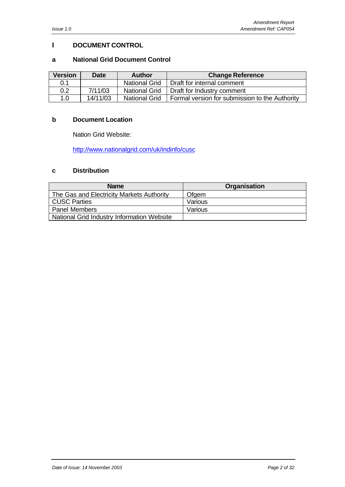### **I DOCUMENT CONTROL**

### **a National Grid Document Control**

| <b>Version</b> | <b>Date</b> | <b>Author</b>        | <b>Change Reference</b>                        |  |
|----------------|-------------|----------------------|------------------------------------------------|--|
| 0.1            |             | <b>National Grid</b> | I Draft for internal comment                   |  |
| 0.2            | 7/11/03     | <b>National Grid</b> | Draft for Industry comment                     |  |
| 1.0            | 14/11/03    | <b>National Grid</b> | Formal version for submission to the Authority |  |

### **b Document Location**

Nation Grid Website:

http://www.nationalgrid.com/uk/indinfo/cusc

### **c Distribution**

| <b>Name</b>                                | <b>Organisation</b> |
|--------------------------------------------|---------------------|
| The Gas and Electricity Markets Authority  | Ofgem               |
| <b>CUSC Parties</b>                        | Various             |
| <b>Panel Members</b>                       | Various             |
| National Grid Industry Information Website |                     |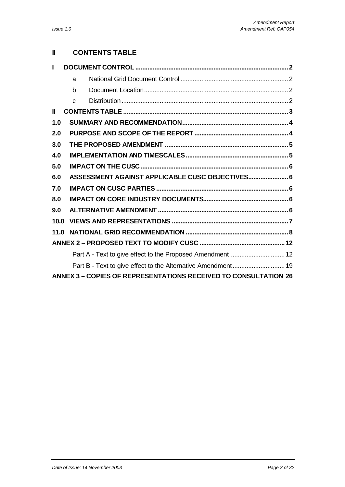### **II CONTENTS TABLE**

|              | a            |                                                                        |
|--------------|--------------|------------------------------------------------------------------------|
|              | b            |                                                                        |
|              | $\mathsf{C}$ |                                                                        |
| $\mathbf{I}$ |              |                                                                        |
| 1.0          |              |                                                                        |
| 2.0          |              |                                                                        |
| 3.0          |              |                                                                        |
| 4.0          |              |                                                                        |
| 5.0          |              |                                                                        |
| 6.0          |              | ASSESSMENT AGAINST APPLICABLE CUSC OBJECTIVES 6                        |
| 7.0          |              |                                                                        |
| 8.0          |              |                                                                        |
| 9.0          |              |                                                                        |
| 10.0         |              |                                                                        |
| 11.0         |              |                                                                        |
|              |              |                                                                        |
|              |              | Part A - Text to give effect to the Proposed Amendment 12              |
|              |              | Part B - Text to give effect to the Alternative Amendment 19           |
|              |              | <b>ANNEX 3 - COPIES OF REPRESENTATIONS RECEIVED TO CONSULTATION 26</b> |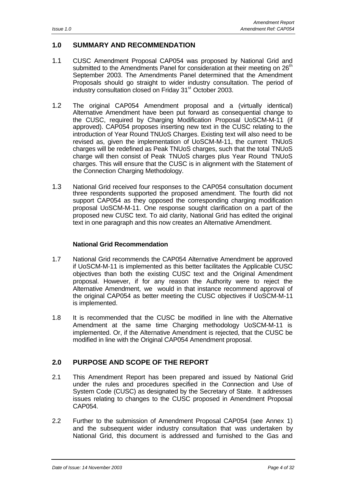### **1.0 SUMMARY AND RECOMMENDATION**

- 1.1 CUSC Amendment Proposal CAP054 was proposed by National Grid and submitted to the Amendments Panel for consideration at their meeting on 26<sup>th</sup> September 2003. The Amendments Panel determined that the Amendment Proposals should go straight to wider industry consultation. The period of industry consultation closed on Friday 31<sup>st</sup> October 2003.
- 1.2 The original CAP054 Amendment proposal and a (virtually identical) Alternative Amendment have been put forward as consequential change to the CUSC, required by Charging Modification Proposal UoSCM-M-11 (if approved). CAP054 proposes inserting new text in the CUSC relating to the introduction of Year Round TNUoS Charges. Existing text will also need to be revised as, given the implementation of UoSCM-M-11, the current TNUoS charges will be redefined as Peak TNUoS charges, such that the total TNUoS charge will then consist of Peak TNUoS charges plus Year Round TNUoS charges. This will ensure that the CUSC is in alignment with the Statement of the Connection Charging Methodology.
- 1.3 National Grid received four responses to the CAP054 consultation document three respondents supported the proposed amendment. The fourth did not support CAP054 as they opposed the corresponding charging modification proposal UoSCM-M-11. One response sought clarification on a part of the proposed new CUSC text. To aid clarity, National Grid has edited the original text in one paragraph and this now creates an Alternative Amendment.

### **National Grid Recommendation**

- 1.7 National Grid recommends the CAP054 Alternative Amendment be approved if UoSCM-M-11 is implemented as this better facilitates the Applicable CUSC objectives than both the existing CUSC text and the Original Amendment proposal. However, if for any reason the Authority were to reject the Alternative Amendment, we would in that instance recommend approval of the original CAP054 as better meeting the CUSC objectives if UoSCM-M-11 is implemented.
- 1.8 It is recommended that the CUSC be modified in line with the Alternative Amendment at the same time Charging methodology UoSCM-M-11 is implemented. Or, if the Alternative Amendment is rejected, that the CUSC be modified in line with the Original CAP054 Amendment proposal.

### **2.0 PURPOSE AND SCOPE OF THE REPORT**

- 2.1 This Amendment Report has been prepared and issued by National Grid under the rules and procedures specified in the Connection and Use of System Code (CUSC) as designated by the Secretary of State. It addresses issues relating to changes to the CUSC proposed in Amendment Proposal CAP054.
- 2.2 Further to the submission of Amendment Proposal CAP054 (see Annex 1) and the subsequent wider industry consultation that was undertaken by National Grid, this document is addressed and furnished to the Gas and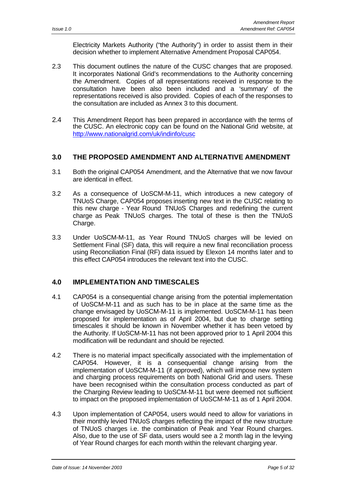Electricity Markets Authority ("the Authority") in order to assist them in their decision whether to implement Alternative Amendment Proposal CAP054.

- 2.3 This document outlines the nature of the CUSC changes that are proposed. It incorporates National Grid's recommendations to the Authority concerning the Amendment. Copies of all representations received in response to the consultation have been also been included and a 'summary' of the representations received is also provided. Copies of each of the responses to the consultation are included as Annex 3 to this document.
- 2.4 This Amendment Report has been prepared in accordance with the terms of the CUSC. An electronic copy can be found on the National Grid website, at http://www.nationalgrid.com/uk/indinfo/cusc

### **3.0 THE PROPOSED AMENDMENT AND ALTERNATIVE AMENDMENT**

- 3.1 Both the original CAP054 Amendment, and the Alternative that we now favour are identical in effect.
- 3.2 As a consequence of UoSCM-M-11, which introduces a new category of TNUoS Charge, CAP054 proposes inserting new text in the CUSC relating to this new charge - Year Round TNUoS Charges and redefining the current charge as Peak TNUoS charges. The total of these is then the TNUoS Charge.
- 3.3 Under UoSCM-M-11, as Year Round TNUoS charges will be levied on Settlement Final (SF) data, this will require a new final reconciliation process using Reconciliation Final (RF) data issued by Elexon 14 months later and to this effect CAP054 introduces the relevant text into the CUSC.

### **4.0 IMPLEMENTATION AND TIMESCALES**

- 4.1 CAP054 is a consequential change arising from the potential implementation of UoSCM-M-11 and as such has to be in place at the same time as the change envisaged by UoSCM-M-11 is implemented. UoSCM-M-11 has been proposed for implementation as of April 2004, but due to charge setting timescales it should be known in November whether it has been vetoed by the Authority. If UoSCM-M-11 has not been approved prior to 1 April 2004 this modification will be redundant and should be rejected.
- 4.2 There is no material impact specifically associated with the implementation of CAP054. However, it is a consequential change arising from the implementation of UoSCM-M-11 (if approved), which will impose new system and charging process requirements on both National Grid and users. These have been recognised within the consultation process conducted as part of the Charging Review leading to UoSCM-M-11 but were deemed not sufficient to impact on the proposed implementation of UoSCM-M-11 as of 1 April 2004.
- 4.3 Upon implementation of CAP054, users would need to allow for variations in their monthly levied TNUoS charges reflecting the impact of the new structure of TNUoS charges i.e. the combination of Peak and Year Round charges. Also, due to the use of SF data, users would see a 2 month lag in the levying of Year Round charges for each month within the relevant charging year.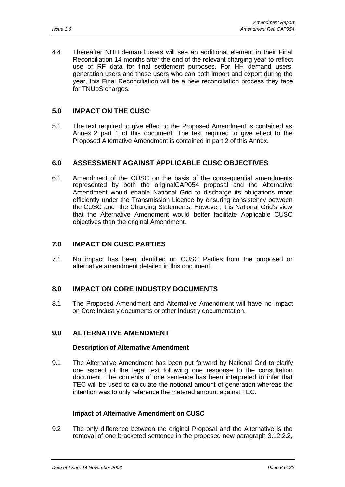4.4 Thereafter NHH demand users will see an additional element in their Final Reconciliation 14 months after the end of the relevant charging year to reflect use of RF data for final settlement purposes. For HH demand users, generation users and those users who can both import and export during the year, this Final Reconciliation will be a new reconciliation process they face for TNUoS charges.

### **5.0 IMPACT ON THE CUSC**

5.1 The text required to give effect to the Proposed Amendment is contained as Annex 2 part 1 of this document. The text required to give effect to the Proposed Alternative Amendment is contained in part 2 of this Annex.

### **6.0 ASSESSMENT AGAINST APPLICABLE CUSC OBJECTIVES**

6.1 Amendment of the CUSC on the basis of the consequential amendments represented by both the originalCAP054 proposal and the Alternative Amendment would enable National Grid to discharge its obligations more efficiently under the Transmission Licence by ensuring consistency between the CUSC and the Charging Statements. However, it is National Grid's view that the Alternative Amendment would better facilitate Applicable CUSC objectives than the original Amendment.

### **7.0 IMPACT ON CUSC PARTIES**

7.1 No impact has been identified on CUSC Parties from the proposed or alternative amendment detailed in this document.

### **8.0 IMPACT ON CORE INDUSTRY DOCUMENTS**

8.1 The Proposed Amendment and Alternative Amendment will have no impact on Core Industry documents or other Industry documentation.

### **9.0 ALTERNATIVE AMENDMENT**

### **Description of Alternative Amendment**

9.1 The Alternative Amendment has been put forward by National Grid to clarify one aspect of the legal text following one response to the consultation document. The contents of one sentence has been interpreted to infer that TEC will be used to calculate the notional amount of generation whereas the intention was to only reference the metered amount against TEC.

### **Impact of Alternative Amendment on CUSC**

9.2 The only difference between the original Proposal and the Alternative is the removal of one bracketed sentence in the proposed new paragraph 3.12.2.2,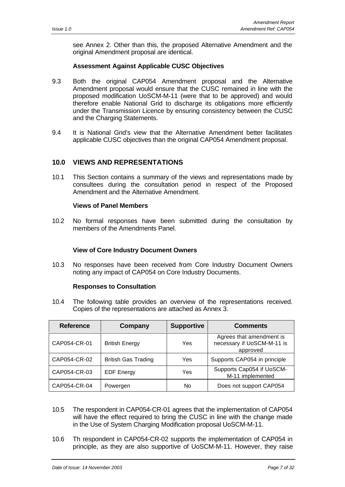see Annex 2. Other than this, the proposed Alternative Amendment and the original Amendment proposal are identical.

### **Assessment Against Applicable CUSC Objectives**

- 9.3 Both the original CAP054 Amendment proposal and the Alternative Amendment proposal would ensure that the CUSC remained in line with the proposed modification UoSCM-M-11 (were that to be approved) and would therefore enable National Grid to discharge its obligations more efficiently under the Transmission Licence by ensuring consistency between the CUSC and the Charging Statements.
- 9.4 It is National Grid's view that the Alternative Amendment better facilitates applicable CUSC objectives than the original CAP054 Amendment proposal.

### **10.0 VIEWS AND REPRESENTATIONS**

10.1 This Section contains a summary of the views and representations made by consultees during the consultation period in respect of the Proposed Amendment and the Alternative Amendment.

#### **Views of Panel Members**

10.2 No formal responses have been submitted during the consultation by members of the Amendments Panel.

### **View of Core Industry Document Owners**

10.3 No responses have been received from Core Industry Document Owners noting any impact of CAP054 on Core Industry Documents.

#### **Responses to Consultation**

10.4 The following table provides an overview of the representations received. Copies of the representations are attached as Annex 3.

| <b>Reference</b> | Company                    | <b>Supportive</b> | <b>Comments</b>                                                    |
|------------------|----------------------------|-------------------|--------------------------------------------------------------------|
| CAP054-CR-01     | <b>British Energy</b>      | Yes               | Agrees that amendment is<br>necessary if UoSCM-M-11 is<br>approved |
| CAP054-CR-02     | <b>British Gas Trading</b> | Yes               | Supports CAP054 in principle                                       |
| CAP054-CR-03     | <b>EDF Energy</b>          | Yes               | Supports Cap054 if UoSCM-<br>M-11 implemented                      |
| CAP054-CR-04     | Powergen                   | No                | Does not support CAP054                                            |

- 10.5 The respondent in CAP054-CR-01 agrees that the implementation of CAP054 will have the effect required to bring the CUSC in line with the change made in the Use of System Charging Modification proposal UoSCM-M-11.
- 10.6 Th respondent in CAP054-CR-02 supports the implementation of CAP054 in principle, as they are also supportive of UoSCM-M-11. However, they raise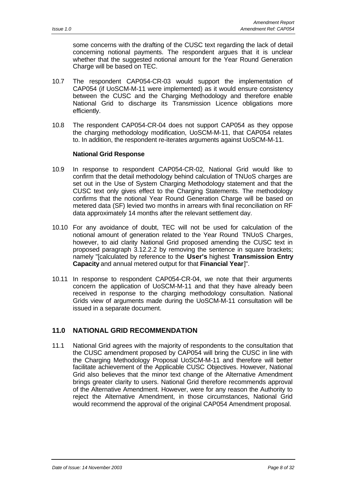some concerns with the drafting of the CUSC text regarding the lack of detail concerning notional payments. The respondent argues that it is unclear whether that the suggested notional amount for the Year Round Generation Charge will be based on TEC.

- 10.7 The respondent CAP054-CR-03 would support the implementation of CAP054 (if UoSCM-M-11 were implemented) as it would ensure consistency between the CUSC and the Charging Methodology and therefore enable National Grid to discharge its Transmission Licence obligations more efficiently.
- 10.8 The respondent CAP054-CR-04 does not support CAP054 as they oppose the charging methodology modification, UoSCM-M-11, that CAP054 relates to. In addition, the respondent re-iterates arguments against UoSCM-M-11.

### **National Grid Response**

- 10.9 In response to respondent CAP054-CR-02, National Grid would like to confirm that the detail methodology behind calculation of TNUoS charges are set out in the Use of System Charging Methodology statement and that the CUSC text only gives effect to the Charging Statements. The methodology confirms that the notional Year Round Generation Charge will be based on metered data (SF) levied two months in arrears with final reconciliation on RF data approximately 14 months after the relevant settlement day.
- 10.10 For any avoidance of doubt, TEC will not be used for calculation of the notional amount of generation related to the Year Round TNUoS Charges, however, to aid clarity National Grid proposed amending the CUSC text in proposed paragraph 3.12.2.2 by removing the sentence in square brackets; namely "[calculated by reference to the **User's** highest **Transmission Entry Capacity** and annual metered output for that **Financial Year**]".
- 10.11 In response to respondent CAP054-CR-04, we note that their arguments concern the application of UoSCM-M-11 and that they have already been received in response to the charging methodology consultation. National Grids view of arguments made during the UoSCM-M-11 consultation will be issued in a separate document.

### **11.0 NATIONAL GRID RECOMMENDATION**

11.1 National Grid agrees with the majority of respondents to the consultation that the CUSC amendment proposed by CAP054 will bring the CUSC in line with the Charging Methodology Proposal UoSCM-M-11 and therefore will better facilitate achievement of the Applicable CUSC Objectives. However, National Grid also believes that the minor text change of the Alternative Amendment brings greater clarity to users. National Grid therefore recommends approval of the Alternative Amendment. However, were for any reason the Authority to reject the Alternative Amendment, in those circumstances, National Grid would recommend the approval of the original CAP054 Amendment proposal.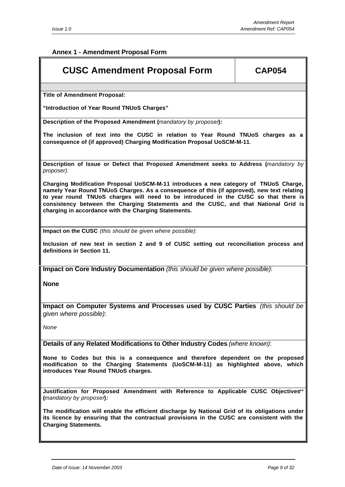**Annex 1 - Amendment Proposal Form**

### **CUSC Amendment Proposal Form | CAP054**

**Title of Amendment Proposal:**

**"Introduction of Year Round TNUoS Charges"**

**Description of the Proposed Amendment (***mandatory by proposer***)***:*

**The inclusion of text into the CUSC in relation to Year Round TNUoS charges as a consequence of (if approved) Charging Modification Proposal UoSCM-M-11***.*

**Description of Issue or Defect that Proposed Amendment seeks to Address (***mandatory by proposer):*

**Charging Modification Proposal UoSCM-M-11 introduces a new category of TNUoS Charge, namely Year Round TNUoS Charges. As a consequence of this (if approved), new text relating to year round TNUoS charges will need to be introduced in the CUSC so that there is consistency between the Charging Statements and the CUSC, and that National Grid is charging in accordance with the Charging Statements.**

**Impact on the CUSC** *(this should be given where possible)*:

**Inclusion of new text in section 2 and 9 of CUSC setting out reconciliation process and definitions in Section 11.**

**Impact on Core Industry Documentation** *(this should be given where possible)*:

**None**

**Impact on Computer Systems and Processes used by CUSC Parties** *(this should be given where possible)*:

*None*

**Details of any Related Modifications to Other Industry Codes** *(where known)*:

**None to Codes but this is a consequence and therefore dependent on the proposed modification to the Charging Statements (UoSCM-M-11) as highlighted above, which introduces Year Round TNUoS charges.**

**Justification for Proposed Amendment with Reference to Applicable CUSC Objectives***\*\** **(***mandatory by proposer***)***:*

**The modification will enable the efficient discharge by National Grid of its obligations under its licence by ensuring that the contractual provisions in the CUSC are consistent with the Charging Statements.**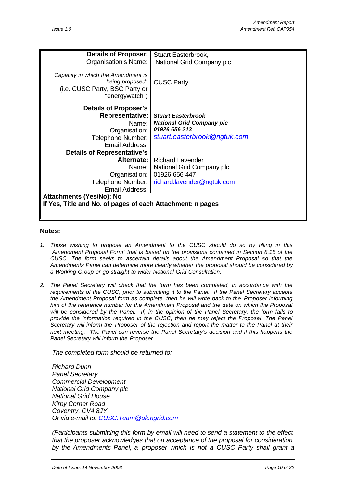| Details of Proposer:                                                                                      | Stuart Easterbrook,              |
|-----------------------------------------------------------------------------------------------------------|----------------------------------|
| Organisation's Name:                                                                                      | National Grid Company plc        |
| Capacity in which the Amendment is<br>being proposed:<br>(i.e. CUSC Party, BSC Party or<br>"energywatch") | <b>CUSC Party</b>                |
| <b>Details of Proposer's</b>                                                                              |                                  |
| Representative:                                                                                           | <b>Stuart Easterbrook</b>        |
| Name:                                                                                                     | <b>National Grid Company plc</b> |
| Organisation:                                                                                             | 01926 656 213                    |
| Telephone Number:                                                                                         | stuart.easterbrook@ngtuk.com     |
| Email Address:                                                                                            |                                  |
| <b>Details of Representative's</b>                                                                        |                                  |
| <b>Alternate:</b> I                                                                                       | <b>Richard Lavender</b>          |
| Name: I                                                                                                   | National Grid Company plc        |
| Organisation:                                                                                             | 01926 656 447                    |
| Telephone Number:                                                                                         | richard.lavender@ngtuk.com       |
| Email Address:                                                                                            |                                  |
| Attachments (Yes/No): No                                                                                  |                                  |
| If Yes, Title and No. of pages of each Attachment: n pages                                                |                                  |
|                                                                                                           |                                  |

#### **Notes:**

- *1. Those wishing to propose an Amendment to the CUSC should do so by filling in this "Amendment Proposal Form" that is based on the provisions contained in Section 8.15 of the CUSC. The form seeks to ascertain details about the Amendment Proposal so that the Amendments Panel can determine more clearly whether the proposal should be considered by a Working Group or go straight to wider National Grid Consultation.*
- *2. The Panel Secretary will check that the form has been completed, in accordance with the requirements of the CUSC, prior to submitting it to the Panel. If the Panel Secretary accepts the Amendment Proposal form as complete, then he will write back to the Proposer informing him of the reference number for the Amendment Proposal and the date on which the Proposal will be considered by the Panel. If, in the opinion of the Panel Secretary, the form fails to provide the information required in the CUSC, then he may reject the Proposal. The Panel Secretary will inform the Proposer of the rejection and report the matter to the Panel at their next meeting. The Panel can reverse the Panel Secretary's decision and if this happens the Panel Secretary will inform the Proposer.*

*The completed form should be returned to:*

*Richard Dunn Panel Secretary Commercial Development National Grid Company plc National Grid House Kirby Corner Road Coventry, CV4 8JY Or via e-mail to: CUSC.Team@uk.ngrid.com*

*(Participants submitting this form by email will need to send a statement to the effect that the proposer acknowledges that on acceptance of the proposal for consideration by the Amendments Panel, a proposer which is not a CUSC Party shall grant a*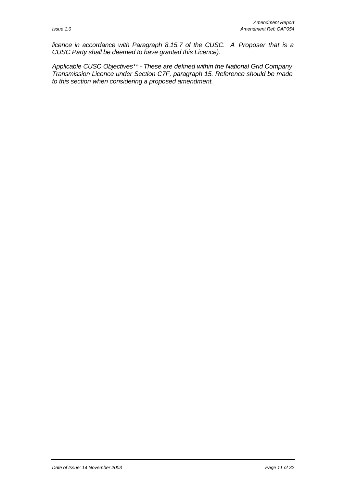*licence in accordance with Paragraph 8.15.7 of the CUSC. A Proposer that is a CUSC Party shall be deemed to have granted this Licence).*

*Applicable CUSC Objectives\*\* - These are defined within the National Grid Company Transmission Licence under Section C7F, paragraph 15. Reference should be made to this section when considering a proposed amendment.*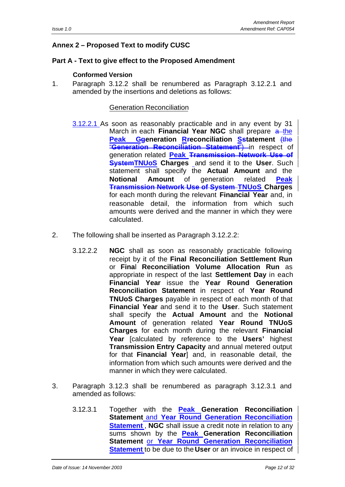### **Annex 2 – Proposed Text to modify CUSC**

### **Part A - Text to give effect to the Proposed Amendment**

### **Conformed Version**

1. Paragraph 3.12.2 shall be renumbered as Paragraph 3.12.2.1 and amended by the insertions and deletions as follows:

- 3.12.2.1 As soon as reasonably practicable and in any event by 31 March in each **Financial Year NGC** shall prepare a the **Peak Ggeneration Rreconciliation Sstatement** (the "**Generation Reconciliation Statement**") in respect of generation related **Peak Transmission Network Use of SystemTNUoS Charges** and send it to the **User**. Such statement shall specify the **Actual Amount** and the **Notional Amount** of generation related **Peak Transmission Network Use of System TNUoS Charges** for each month during the relevant **Financial Year** and, in reasonable detail, the information from which such amounts were derived and the manner in which they were calculated.
- 2. The following shall be inserted as Paragraph 3.12.2.2:
	- 3.12.2.2 **NGC** shall as soon as reasonably practicable following receipt by it of the **Final Reconciliation Settlement Run** or **Fina**l **Reconciliation Volume Allocation Run** as appropriate in respect of the last **Settlement Day** in each **Financial Year** issue the **Year Round Generation Reconciliation Statement** in respect of **Year Round TNUoS Charges** payable in respect of each month of that **Financial Year** and send it to the **User**. Such statement shall specify the **Actual Amount** and the **Notional Amount** of generation related **Year Round TNUoS Charges** for each month during the relevant **Financial Year** [calculated by reference to the **Users'** highest **Transmission Entry Capacity** and annual metered output for that **Financial Year**] and, in reasonable detail, the information from which such amounts were derived and the manner in which they were calculated.
- 3. Paragraph 3.12.3 shall be renumbered as paragraph 3.12.3.1 and amended as follows:
	- 3.12.3.1 Together with the **Peak Generation Reconciliation Statement** and **Year Round Generation Reconciliation Statement**, **NGC** shall issue a credit note in relation to any sums shown by the **Peak Generation Reconciliation Statement** or **Year Round Generation Reconciliation Statement** to be due to the **User** or an invoice in respect of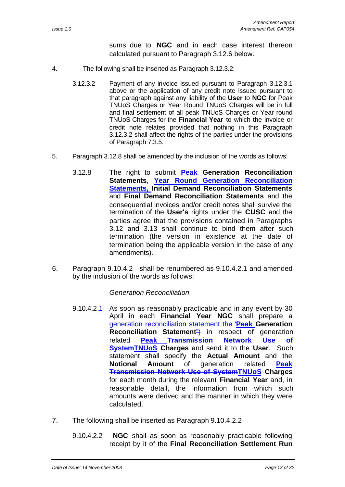sums due to **NGC** and in each case interest thereon calculated pursuant to Paragraph 3.12.6 below.

- 4. The following shall be inserted as Paragraph 3.12.3.2:
	- 3.12.3.2 Payment of any invoice issued pursuant to Paragraph 3.12.3.1 above or the application of any credit note issued pursuant to that paragraph against any liability of the **User** to **NGC** for Peak TNUoS Charges or Year Round TNUoS Charges will be in full and final settlement of all peak TNUoS Charges or Year round TNUoS Charges for the **Financial Year** to which the invoice or credit note relates provided that nothing in this Paragraph 3.12.3.2 shall affect the rights of the parties under the provisions of Paragraph 7.3.5.
- 5. Paragraph 3.12.8 shall be amended by the inclusion of the words as follows:
	- 3.12.8 The right to submit **Peak Generation Reconciliation Statements**, **Year Round Generation Reconciliation Statements, Initial Demand Reconciliation Statements** and **Final Demand Reconciliation Statements** and the consequential invoices and/or credit notes shall survive the termination of the **User's** rights under the **CUSC** and the parties agree that the provisions contained in Paragraphs 3.12 and 3.13 shall continue to bind them after such termination (the version in existence at the date of termination being the applicable version in the case of any amendments).
- 6. Paragraph 9.10.4.2 shall be renumbered as 9.10.4.2.1 and amended by the inclusion of the words as follows:

- 9.10.4.2.1 As soon as reasonably practicable and in any event by 30  $\parallel$ April in each **Financial Year NGC** shall prepare a generation reconciliation statement the "**Peak Generation Reconciliation Statement**") in respect of generation related **Peak Transmission Network Use of SystemTNUoS Charges** and send it to the **User**. Such statement shall specify the **Actual Amount** and the **Notional Amount** of generation related **Peak Transmission Network Use of SystemTNUoS Charges** for each month during the relevant **Financial Year** and, in reasonable detail, the information from which such amounts were derived and the manner in which they were calculated.
- 7. The following shall be inserted as Paragraph 9.10.4.2.2
	- 9.10.4.2.2 **NGC** shall as soon as reasonably practicable following receipt by it of the **Final Reconciliation Settlement Run**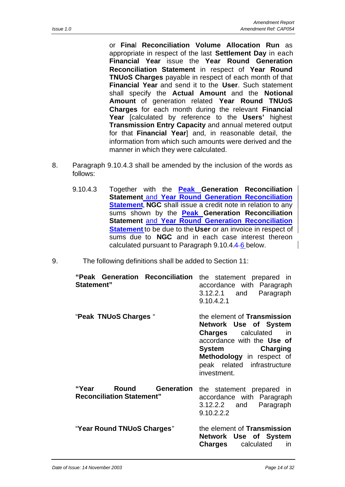or **Fina**l **Reconciliation Volume Allocation Run** as appropriate in respect of the last **Settlement Day** in each **Financial Year** issue the **Year Round Generation Reconciliation Statement** in respect of **Year Round TNUoS Charges** payable in respect of each month of that **Financial Year** and send it to the **User**. Such statement shall specify the **Actual Amount** and the **Notional Amount** of generation related **Year Round TNUoS Charges** for each month during the relevant **Financial Year** [calculated by reference to the **Users'** highest **Transmission Entry Capacity** and annual metered output for that **Financial Year**] and, in reasonable detail, the information from which such amounts were derived and the manner in which they were calculated.

- 8. Paragraph 9.10.4.3 shall be amended by the inclusion of the words as follows:
	- 9.10.4.3 Together with the **Peak Generation Reconciliation Statement** and **Year Round Generation Reconciliation Statement, NGC** shall issue a credit note in relation to any sums shown by the **Peak Generation Reconciliation Statement** and **Year Round Generation Reconciliation Statement** to be due to the **User** or an invoice in respect of sums due to **NGC** and in each case interest thereon calculated pursuant to Paragraph 9.10.4.4 6 below.
- 9. The following definitions shall be added to Section 11:

| "Peak Generation Reconciliation<br>Statement"                           | the statement prepared in<br>accordance with Paragraph<br>3.12.2.1 and<br>Paragraph<br>9.10.4.2.1                                                                                                                   |
|-------------------------------------------------------------------------|---------------------------------------------------------------------------------------------------------------------------------------------------------------------------------------------------------------------|
| "Peak TNUoS Charges "                                                   | the element of Transmission<br>Network Use of System<br><b>Charges</b> calculated<br>in<br>accordance with the Use of<br>System Charging<br>Methodology in respect of<br>peak related infrastructure<br>investment. |
| Round<br><b>Generation</b><br>"Year<br><b>Reconciliation Statement"</b> | the statement prepared in<br>accordance with Paragraph<br>3.12.2.2 and<br>Paragraph<br>9.10.2.2.2                                                                                                                   |
| "Year Round TNUoS Charges"                                              | the element of Transmission<br>Network Use of System<br>Charges<br>calculated<br>in                                                                                                                                 |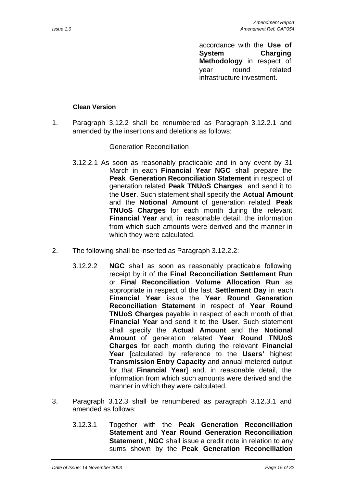accordance with the **Use of System Charging Methodology** in respect of year round related infrastructure investment.

### **Clean Version**

1. Paragraph 3.12.2 shall be renumbered as Paragraph 3.12.2.1 and amended by the insertions and deletions as follows:

- 3.12.2.1 As soon as reasonably practicable and in any event by 31 March in each **Financial Year NGC** shall prepare the **Peak Generation Reconciliation Statement** in respect of generation related **Peak TNUoS Charges** and send it to the **User**. Such statement shall specify the **Actual Amount** and the **Notional Amount** of generation related **Peak TNUoS Charges** for each month during the relevant **Financial Year** and, in reasonable detail, the information from which such amounts were derived and the manner in which they were calculated.
- 2. The following shall be inserted as Paragraph 3.12.2.2:
	- 3.12.2.2 **NGC** shall as soon as reasonably practicable following receipt by it of the **Final Reconciliation Settlement Run** or **Fina**l **Reconciliation Volume Allocation Run** as appropriate in respect of the last **Settlement Day** in each **Financial Year** issue the **Year Round Generation Reconciliation Statement** in respect of **Year Round TNUoS Charges** payable in respect of each month of that **Financial Year** and send it to the **User**. Such statement shall specify the **Actual Amount** and the **Notional Amount** of generation related **Year Round TNUoS Charges** for each month during the relevant **Financial Year** [calculated by reference to the **Users'** highest **Transmission Entry Capacity** and annual metered output for that **Financial Year**] and, in reasonable detail, the information from which such amounts were derived and the manner in which they were calculated.
- 3. Paragraph 3.12.3 shall be renumbered as paragraph 3.12.3.1 and amended as follows:
	- 3.12.3.1 Together with the **Peak Generation Reconciliation Statement** and **Year Round Generation Reconciliation Statement** , **NGC** shall issue a credit note in relation to any sums shown by the **Peak Generation Reconciliation**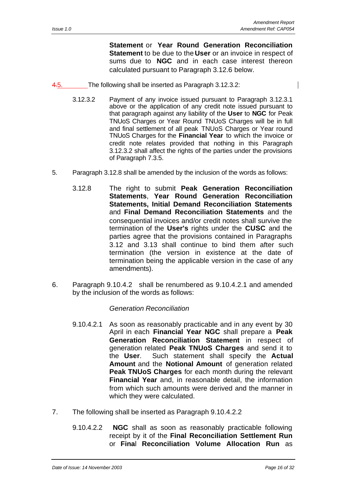$\mathsf{l}$ 

**Statement** or **Year Round Generation Reconciliation Statement** to be due to the **User** or an invoice in respect of sums due to **NGC** and in each case interest thereon calculated pursuant to Paragraph 3.12.6 below.

- 4.5. The following shall be inserted as Paragraph 3.12.3.2:
	- 3.12.3.2 Payment of any invoice issued pursuant to Paragraph 3.12.3.1 above or the application of any credit note issued pursuant to that paragraph against any liability of the **User** to **NGC** for Peak TNUoS Charges or Year Round TNUoS Charges will be in full and final settlement of all peak TNUoS Charges or Year round TNUoS Charges for the **Financial Year** to which the invoice or credit note relates provided that nothing in this Paragraph 3.12.3.2 shall affect the rights of the parties under the provisions of Paragraph 7.3.5.
- 5. Paragraph 3.12.8 shall be amended by the inclusion of the words as follows:
	- 3.12.8 The right to submit **Peak Generation Reconciliation Statements**, **Year Round Generation Reconciliation Statements, Initial Demand Reconciliation Statements** and **Final Demand Reconciliation Statements** and the consequential invoices and/or credit notes shall survive the termination of the **User's** rights under the **CUSC** and the parties agree that the provisions contained in Paragraphs 3.12 and 3.13 shall continue to bind them after such termination (the version in existence at the date of termination being the applicable version in the case of any amendments).
- 6. Paragraph 9.10.4.2 shall be renumbered as 9.10.4.2.1 and amended by the inclusion of the words as follows:

- 9.10.4.2.1 As soon as reasonably practicable and in any event by 30 April in each **Financial Year NGC** shall prepare a **Peak Generation Reconciliation Statement** in respect of generation related **Peak TNUoS Charges** and send it to the **User**. Such statement shall specify the **Actual Amount** and the **Notional Amount** of generation related **Peak TNUoS Charges** for each month during the relevant **Financial Year** and, in reasonable detail, the information from which such amounts were derived and the manner in which they were calculated.
- 7. The following shall be inserted as Paragraph 9.10.4.2.2
	- 9.10.4.2.2 **NGC** shall as soon as reasonably practicable following receipt by it of the **Final Reconciliation Settlement Run** or **Fina**l **Reconciliation Volume Allocation Run** as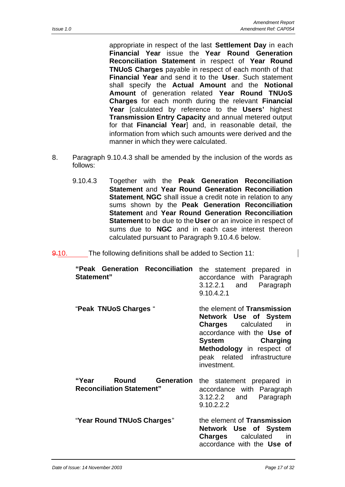appropriate in respect of the last **Settlement Day** in each **Financial Year** issue the **Year Round Generation Reconciliation Statement** in respect of **Year Round TNUoS Charges** payable in respect of each month of that **Financial Year** and send it to the **User**. Such statement shall specify the **Actual Amount** and the **Notional Amount** of generation related **Year Round TNUoS Charges** for each month during the relevant **Financial Year** [calculated by reference to the **Users'** highest **Transmission Entry Capacity** and annual metered output for that **Financial Year**] and, in reasonable detail, the information from which such amounts were derived and the manner in which they were calculated.

- 8. Paragraph 9.10.4.3 shall be amended by the inclusion of the words as follows:
	- 9.10.4.3 Together with the **Peak Generation Reconciliation Statement** and **Year Round Generation Reconciliation Statement**, **NGC** shall issue a credit note in relation to any sums shown by the **Peak Generation Reconciliation Statement** and **Year Round Generation Reconciliation Statement** to be due to the **User** or an invoice in respect of sums due to **NGC** and in each case interest thereon calculated pursuant to Paragraph 9.10.4.6 below.
- 9.10. The following definitions shall be added to Section 11:

| "Peak Generation Reconciliation<br>Statement"                           | the statement prepared in<br>accordance with Paragraph<br>3.12.2.1 and<br>Paragraph<br>9.10.4.2.1                                                                                                                          |
|-------------------------------------------------------------------------|----------------------------------------------------------------------------------------------------------------------------------------------------------------------------------------------------------------------------|
| "Peak TNUoS Charges"                                                    | the element of <b>Transmission</b><br>Network Use of System<br><b>Charges</b> calculated<br>in<br>accordance with the Use of<br>System Charging<br>Methodology in respect of<br>peak related infrastructure<br>investment. |
| <b>Generation</b><br>Round<br>"Year<br><b>Reconciliation Statement"</b> | the statement prepared in<br>accordance with Paragraph<br>3.12.2.2 and<br>Paragraph<br>9.10.2.2.2                                                                                                                          |
| "Year Round TNUoS Charges"                                              | the element of Transmission<br>Network Use of System<br>Charges<br>calculated<br>in<br>accordance with the Use of                                                                                                          |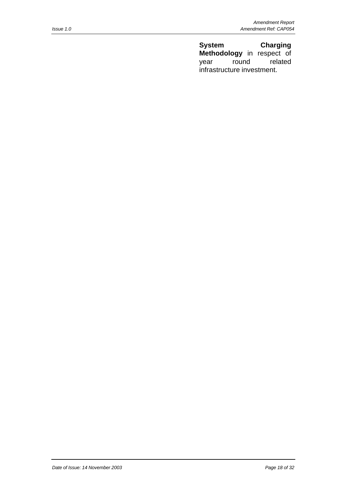**System Charging Methodology** in respect of year round related infrastructure investment.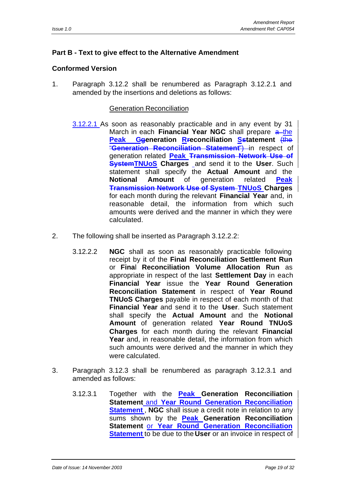### **Part B - Text to give effect to the Alternative Amendment**

### **Conformed Version**

1. Paragraph 3.12.2 shall be renumbered as Paragraph 3.12.2.1 and amended by the insertions and deletions as follows:

- 3.12.2.1 As soon as reasonably practicable and in any event by 31 March in each **Financial Year NGC** shall prepare a-the **Peak Ggeneration Rreconciliation Sstatement** (the "**Generation Reconciliation Statement**") in respect of generation related **Peak Transmission Network Use of SystemTNUoS Charges** and send it to the **User**. Such statement shall specify the **Actual Amount** and the **Notional Amount** of generation related **Peak Transmission Network Use of System TNUoS Charges** for each month during the relevant **Financial Year** and, in reasonable detail, the information from which such amounts were derived and the manner in which they were calculated.
- 2. The following shall be inserted as Paragraph 3.12.2.2:
	- 3.12.2.2 **NGC** shall as soon as reasonably practicable following receipt by it of the **Final Reconciliation Settlement Run** or **Fina**l **Reconciliation Volume Allocation Run** as appropriate in respect of the last **Settlement Day** in each **Financial Year** issue the **Year Round Generation Reconciliation Statement** in respect of **Year Round TNUoS Charges** payable in respect of each month of that **Financial Year** and send it to the **User**. Such statement shall specify the **Actual Amount** and the **Notional Amount** of generation related **Year Round TNUoS Charges** for each month during the relevant **Financial Year** and, in reasonable detail, the information from which such amounts were derived and the manner in which they were calculated.
- 3. Paragraph 3.12.3 shall be renumbered as paragraph 3.12.3.1 and amended as follows:
	- 3.12.3.1 Together with the **Peak Generation Reconciliation Statement** and **Year Round Generation Reconciliation Statement** , **NGC** shall issue a credit note in relation to any sums shown by the **Peak Generation Reconciliation Statement** or **Year Round Generation Reconciliation Statement** to be due to the **User** or an invoice in respect of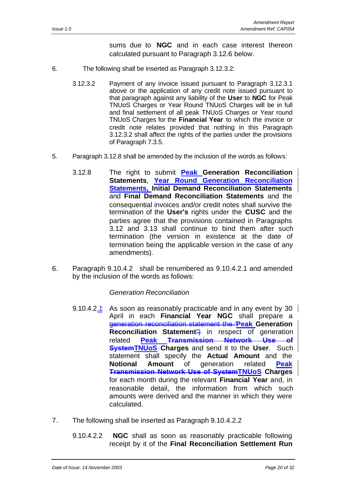sums due to **NGC** and in each case interest thereon calculated pursuant to Paragraph 3.12.6 below.

- 6. The following shall be inserted as Paragraph 3.12.3.2:
	- 3.12.3.2 Payment of any invoice issued pursuant to Paragraph 3.12.3.1 above or the application of any credit note issued pursuant to that paragraph against any liability of the **User** to **NGC** for Peak TNUoS Charges or Year Round TNUoS Charges will be in full and final settlement of all peak TNUoS Charges or Year round TNUoS Charges for the **Financial Year** to which the invoice or credit note relates provided that nothing in this Paragraph 3.12.3.2 shall affect the rights of the parties under the provisions of Paragraph 7.3.5.
- 5. Paragraph 3.12.8 shall be amended by the inclusion of the words as follows:
	- 3.12.8 The right to submit **Peak Generation Reconciliation Statements**, **Year Round Generation Reconciliation Statements, Initial Demand Reconciliation Statements** and **Final Demand Reconciliation Statements** and the consequential invoices and/or credit notes shall survive the termination of the **User's** rights under the **CUSC** and the parties agree that the provisions contained in Paragraphs 3.12 and 3.13 shall continue to bind them after such termination (the version in existence at the date of termination being the applicable version in the case of any amendments).
- 6. Paragraph 9.10.4.2 shall be renumbered as 9.10.4.2.1 and amended by the inclusion of the words as follows:

- 9.10.4.2.1 As soon as reasonably practicable and in any event by 30  $\parallel$ April in each **Financial Year NGC** shall prepare a generation reconciliation statement the "**Peak Generation Reconciliation Statement**") in respect of generation related **Peak Transmission Network Use of SystemTNUoS Charges** and send it to the **User**. Such statement shall specify the **Actual Amount** and the **Notional Amount** of generation related **Peak Transmission Network Use of SystemTNUoS Charges** for each month during the relevant **Financial Year** and, in reasonable detail, the information from which such amounts were derived and the manner in which they were calculated.
- 7. The following shall be inserted as Paragraph 9.10.4.2.2
	- 9.10.4.2.2 **NGC** shall as soon as reasonably practicable following receipt by it of the **Final Reconciliation Settlement Run**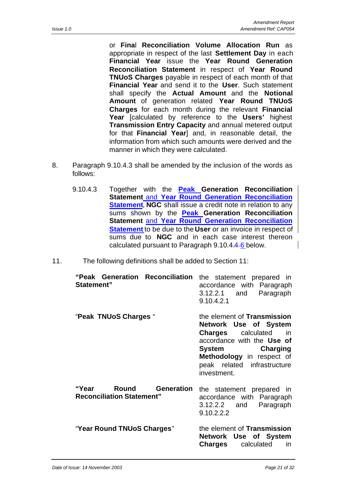or **Fina**l **Reconciliation Volume Allocation Run** as appropriate in respect of the last **Settlement Day** in each **Financial Year** issue the **Year Round Generation Reconciliation Statement** in respect of **Year Round TNUoS Charges** payable in respect of each month of that **Financial Year** and send it to the **User**. Such statement shall specify the **Actual Amount** and the **Notional Amount** of generation related **Year Round TNUoS Charges** for each month during the relevant **Financial Year** [calculated by reference to the **Users'** highest **Transmission Entry Capacity** and annual metered output for that **Financial Year**] and, in reasonable detail, the information from which such amounts were derived and the manner in which they were calculated.

- 8. Paragraph 9.10.4.3 shall be amended by the inclusion of the words as follows:
	- 9.10.4.3 Together with the **Peak Generation Reconciliation Statement** and **Year Round Generation Reconciliation Statement, NGC** shall issue a credit note in relation to any sums shown by the **Peak Generation Reconciliation Statement** and **Year Round Generation Reconciliation Statement** to be due to the **User** or an invoice in respect of sums due to **NGC** and in each case interest thereon calculated pursuant to Paragraph 9.10.4.4 6 below.
- 11. The following definitions shall be added to Section 11:

| "Peak Generation Reconciliation<br>Statement"                           | the statement prepared in<br>accordance with Paragraph<br>3.12.2.1 and<br>Paragraph<br>9.10.4.2.1                                                                                                                             |
|-------------------------------------------------------------------------|-------------------------------------------------------------------------------------------------------------------------------------------------------------------------------------------------------------------------------|
| "Peak TNUoS Charges"                                                    | the element of <b>Transmission</b><br>Network Use of System<br><b>Charges</b> calculated<br>in<br>accordance with the Use of<br>System<br>Charging<br>Methodology in respect of<br>peak related infrastructure<br>investment. |
| Round<br><b>Generation</b><br>"Year<br><b>Reconciliation Statement"</b> | the statement prepared in<br>accordance with Paragraph<br>3.12.2.2 and<br>Paragraph<br>9.10.2.2.2                                                                                                                             |
| "Year Round TNUoS Charges"                                              | the element of Transmission<br>Network Use of System<br>Charges<br>calculated<br>in                                                                                                                                           |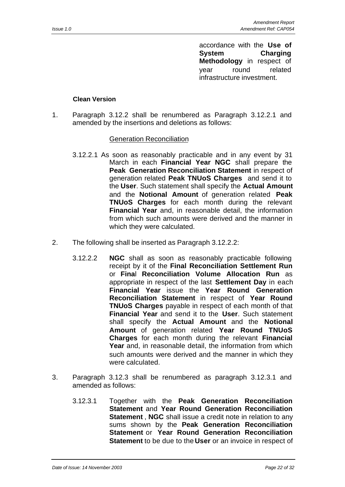accordance with the **Use of System Charging Methodology** in respect of year round related infrastructure investment.

### **Clean Version**

1. Paragraph 3.12.2 shall be renumbered as Paragraph 3.12.2.1 and amended by the insertions and deletions as follows:

- 3.12.2.1 As soon as reasonably practicable and in any event by 31 March in each **Financial Year NGC** shall prepare the **Peak Generation Reconciliation Statement** in respect of generation related **Peak TNUoS Charges** and send it to the **User**. Such statement shall specify the **Actual Amount** and the **Notional Amount** of generation related **Peak TNUoS Charges** for each month during the relevant **Financial Year** and, in reasonable detail, the information from which such amounts were derived and the manner in which they were calculated.
- 2. The following shall be inserted as Paragraph 3.12.2.2:
	- 3.12.2.2 **NGC** shall as soon as reasonably practicable following receipt by it of the **Final Reconciliation Settlement Run** or **Fina**l **Reconciliation Volume Allocation Run** as appropriate in respect of the last **Settlement Day** in each **Financial Year** issue the **Year Round Generation Reconciliation Statement** in respect of **Year Round TNUoS Charges** payable in respect of each month of that **Financial Year** and send it to the **User**. Such statement shall specify the **Actual Amount** and the **Notional Amount** of generation related **Year Round TNUoS Charges** for each month during the relevant **Financial Year** and, in reasonable detail, the information from which such amounts were derived and the manner in which they were calculated.
- 3. Paragraph 3.12.3 shall be renumbered as paragraph 3.12.3.1 and amended as follows:
	- 3.12.3.1 Together with the **Peak Generation Reconciliation Statement** and **Year Round Generation Reconciliation Statement** , **NGC** shall issue a credit note in relation to any sums shown by the **Peak Generation Reconciliation Statement** or **Year Round Generation Reconciliation Statement** to be due to the **User** or an invoice in respect of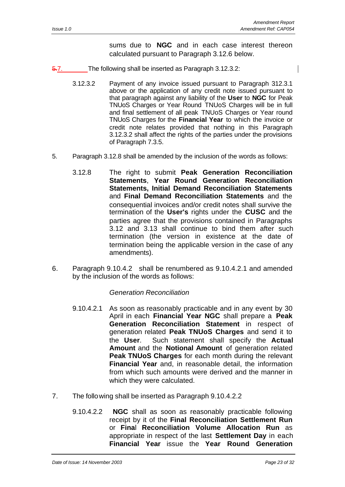sums due to **NGC** and in each case interest thereon calculated pursuant to Paragraph 3.12.6 below.

- 5.7. The following shall be inserted as Paragraph 3.12.3.2:
	- 3.12.3.2 Payment of any invoice issued pursuant to Paragraph 312.3.1 above or the application of any credit note issued pursuant to that paragraph against any liability of the **User** to **NGC** for Peak TNUoS Charges or Year Round TNUoS Charges will be in full and final settlement of all peak TNUoS Charges or Year round TNUoS Charges for the **Financial Year** to which the invoice or credit note relates provided that nothing in this Paragraph 3.12.3.2 shall affect the rights of the parties under the provisions of Paragraph 7.3.5.
- 5. Paragraph 3.12.8 shall be amended by the inclusion of the words as follows:
	- 3.12.8 The right to submit **Peak Generation Reconciliation Statements**, **Year Round Generation Reconciliation Statements, Initial Demand Reconciliation Statements** and **Final Demand Reconciliation Statements** and the consequential invoices and/or credit notes shall survive the termination of the **User's** rights under the **CUSC** and the parties agree that the provisions contained in Paragraphs 3.12 and 3.13 shall continue to bind them after such termination (the version in existence at the date of termination being the applicable version in the case of any amendments).
- 6. Paragraph 9.10.4.2 shall be renumbered as 9.10.4.2.1 and amended by the inclusion of the words as follows:

- 9.10.4.2.1 As soon as reasonably practicable and in any event by 30 April in each **Financial Year NGC** shall prepare a **Peak Generation Reconciliation Statement** in respect of generation related **Peak TNUoS Charges** and send it to the **User**. Such statement shall specify the **Actual Amount** and the **Notional Amount** of generation related **Peak TNUoS Charges** for each month during the relevant **Financial Year** and, in reasonable detail, the information from which such amounts were derived and the manner in which they were calculated.
- 7. The following shall be inserted as Paragraph 9.10.4.2.2
	- 9.10.4.2.2 **NGC** shall as soon as reasonably practicable following receipt by it of the **Final Reconciliation Settlement Run** or **Fina**l **Reconciliation Volume Allocation Run** as appropriate in respect of the last **Settlement Day** in each **Financial Year** issue the **Year Round Generation**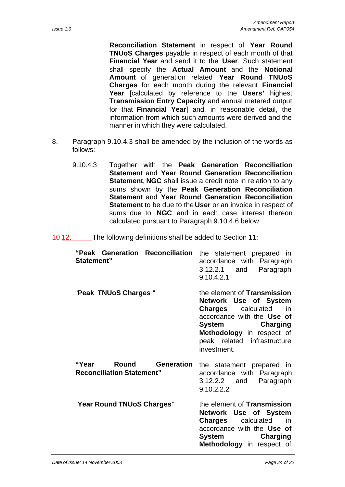**Reconciliation Statement** in respect of **Year Round TNUoS Charges** payable in respect of each month of that **Financial Year** and send it to the **User**. Such statement shall specify the **Actual Amount** and the **Notional Amount** of generation related **Year Round TNUoS Charges** for each month during the relevant **Financial Year** [calculated by reference to the **Users'** highest **Transmission Entry Capacity** and annual metered output for that **Financial Year**] and, in reasonable detail, the information from which such amounts were derived and the manner in which they were calculated.

- 8. Paragraph 9.10.4.3 shall be amended by the inclusion of the words as follows:
	- 9.10.4.3 Together with the **Peak Generation Reconciliation Statement** and **Year Round Generation Reconciliation Statement**, **NGC** shall issue a credit note in relation to any sums shown by the **Peak Generation Reconciliation Statement** and **Year Round Generation Reconciliation Statement** to be due to the **User** or an invoice in respect of sums due to **NGC** and in each case interest thereon calculated pursuant to Paragraph 9.10.4.6 below.

10.12. The following definitions shall be added to Section 11:

| "Peak Generation Reconciliation<br>Statement"                           | the statement prepared in<br>accordance with Paragraph<br>$3.12.2.1$ and<br>Paragraph<br>9.10.4.2.1                                                                                                                     |
|-------------------------------------------------------------------------|-------------------------------------------------------------------------------------------------------------------------------------------------------------------------------------------------------------------------|
| "Peak TNUoS Charges"                                                    | the element of Transmission<br>Network Use of System<br><b>Charges</b> calculated<br>-in<br>accordance with the Use of<br>System<br>Charging<br>Methodology in respect of<br>peak related infrastructure<br>investment. |
| <b>Generation</b><br>Round<br>"Year<br><b>Reconciliation Statement"</b> | the statement prepared in<br>accordance with Paragraph<br>3.12.2.2 and<br>Paragraph<br>9.10.2.2.2                                                                                                                       |
| "Year Round TNUoS Charges"                                              | the element of Transmission<br>Network Use of System<br><b>Charges</b> calculated<br><i>in</i><br>accordance with the Use of<br>System<br>Charging<br>Methodology in respect of                                         |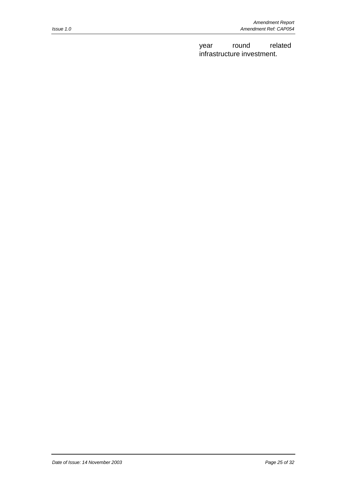year round related infrastructure investment.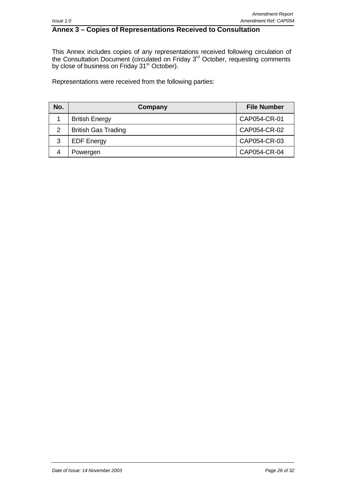### **Annex 3 – Copies of Representations Received to Consultation**

This Annex includes copies of any representations received following circulation of the Consultation Document (circulated on Friday 3<sup>rd</sup> October, requesting comments by close of business on Friday 31<sup>st</sup> October).

Representations were received from the following parties:

| No. | Company                    | <b>File Number</b> |
|-----|----------------------------|--------------------|
|     | <b>British Energy</b>      | CAP054-CR-01       |
| 2   | <b>British Gas Trading</b> | CAP054-CR-02       |
| 3   | <b>EDF Energy</b>          | CAP054-CR-03       |
|     | Powergen                   | CAP054-CR-04       |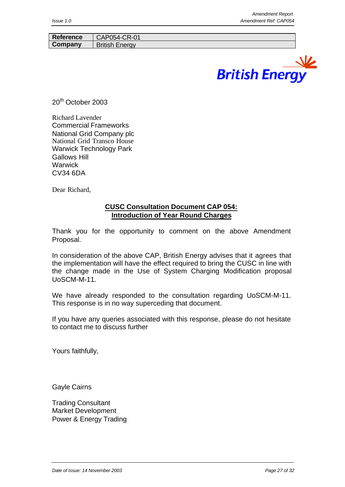| Reference | J54-CR-01<br>CAP         |
|-----------|--------------------------|
| Company   | <b>British</b><br>Energy |



20<sup>th</sup> October 2003

Richard Lavender Commercial Frameworks National Grid Company plc National Grid Transco House Warwick Technology Park Gallows Hill **Warwick** CV34 6DA

Dear Richard,

### **CUSC Consultation Document CAP 054: Introduction of Year Round Charges**

Thank you for the opportunity to comment on the above Amendment Proposal.

In consideration of the above CAP, British Energy advises that it agrees that the implementation will have the effect required to bring the CUSC in line with the change made in the Use of System Charging Modification proposal UoSCM-M-11.

We have already responded to the consultation regarding UoSCM-M-11. This response is in no way superceding that document.

If you have any queries associated with this response, please do not hesitate to contact me to discuss further

Yours faithfully,

Gayle Cairns

Trading Consultant Market Development Power & Energy Trading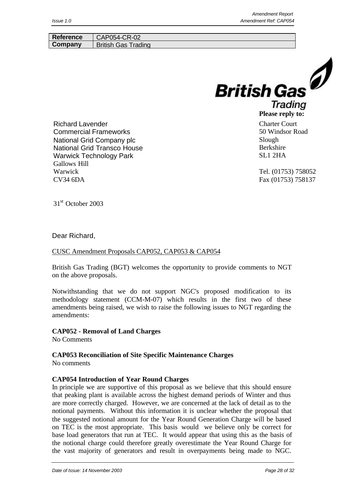| <b>Reference</b>                                                                                                                                                                    | CAP054-CR-02               |                                                                                         |
|-------------------------------------------------------------------------------------------------------------------------------------------------------------------------------------|----------------------------|-----------------------------------------------------------------------------------------|
| Company                                                                                                                                                                             | <b>British Gas Trading</b> |                                                                                         |
|                                                                                                                                                                                     |                            | <b>British Gas</b><br>Trading<br>Please reply to:                                       |
| <b>Richard Lavender</b><br><b>Commercial Frameworks</b><br>National Grid Company plc<br><b>National Grid Transco House</b><br><b>Warwick Technology Park</b><br><b>Gallows Hill</b> |                            | <b>Charter Court</b><br>50 Windsor Road<br>Slough<br><b>Berkshire</b><br><b>SL1 2HA</b> |

Tel. (01753) 758052 Fax (01753) 758137

Warwick CV34 6DA

31st October 2003

### Dear Richard,

### CUSC Amendment Proposals CAP052, CAP053 & CAP054

British Gas Trading (BGT) welcomes the opportunity to provide comments to NGT on the above proposals.

Notwithstanding that we do not support NGC's proposed modification to its methodology statement (CCM-M-07) which results in the first two of these amendments being raised, we wish to raise the following issues to NGT regarding the amendments:

### **CAP052 - Removal of Land Charges**

No Comments

**CAP053 Reconciliation of Site Specific Maintenance Charges**

No comments

### **CAP054 Introduction of Year Round Charges**

In principle we are supportive of this proposal as we believe that this should ensure that peaking plant is available across the highest demand periods of Winter and thus are more correctly charged. However, we are concerned at the lack of detail as to the notional payments. Without this information it is unclear whether the proposal that the suggested notional amount for the Year Round Generation Charge will be based on TEC is the most appropriate. This basis would we believe only be correct for base load generators that run at TEC. It would appear that using this as the basis of the notional charge could therefore greatly overestimate the Year Round Charge for the vast majority of generators and result in overpayments being made to NGC.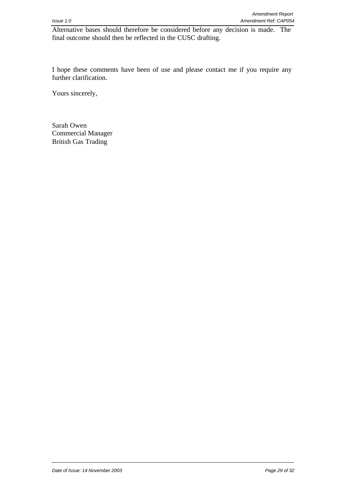Alternative bases should therefore be considered before any decision is made. The final outcome should then be reflected in the CUSC drafting.

I hope these comments have been of use and please contact me if you require any further clarification.

Yours sincerely,

Sarah Owen Commercial Manager British Gas Trading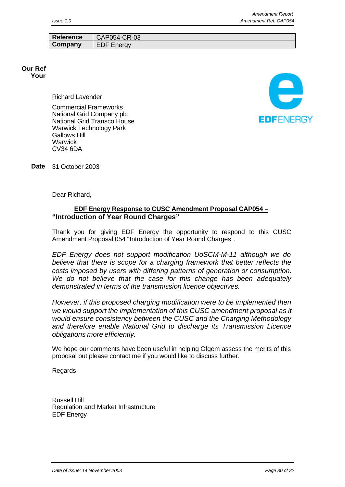|           | <b>Amendment Report</b> |
|-----------|-------------------------|
| Issue 1.0 | Amendment Ref: CAP054   |

| <b>Reference</b> | CAP054-CR-03              |
|------------------|---------------------------|
| Company          | <b>Energy</b><br>⊣נ<br>-- |

#### **Our Ref Your**

Richard Lavender

Commercial Frameworks National Grid Company plc National Grid Transco House Warwick Technology Park Gallows Hill **Warwick** CV34 6DA



**Date** 31 October 2003

Dear Richard,

### **EDF Energy Response to CUSC Amendment Proposal CAP054 – "Introduction of Year Round Charges"**

Thank you for giving EDF Energy the opportunity to respond to this CUSC Amendment Proposal 054 "Introduction of Year Round Charges".

*EDF Energy does not support modification UoSCM-M-11 although we do believe that there is scope for a charging framework that better reflects the costs imposed by users with differing patterns of generation or consumption. We do not believe that the case for this change has been adequately demonstrated in terms of the transmission licence objectives.*

*However, if this proposed charging modification were to be implemented then we would support the implementation of this CUSC amendment proposal as it would ensure consistency between the CUSC and the Charging Methodology and therefore enable National Grid to discharge its Transmission Licence obligations more efficiently.*

We hope our comments have been useful in helping Ofgem assess the merits of this proposal but please contact me if you would like to discuss further.

**Regards** 

Russell Hill Regulation and Market Infrastructure EDF Energy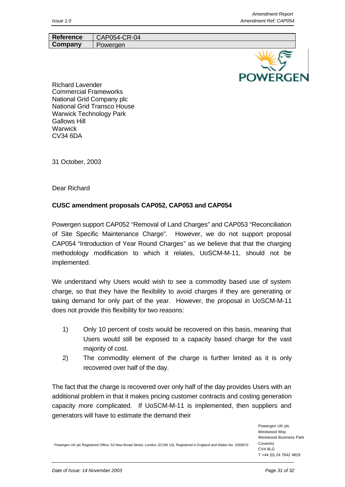

Richard Lavender Commercial Frameworks National Grid Company plc National Grid Transco House Warwick Technology Park Gallows Hill **Warwick** CV34 6DA

**Reference** | CAP054-CR-04 **Company** Powergen

31 October, 2003

Dear Richard

### **CUSC amendment proposals CAP052, CAP053 and CAP054**

Powergen support CAP052 "Removal of Land Charges" and CAP053 "Reconciliation of Site Specific Maintenance Charge". However, we do not support proposal CAP054 "Introduction of Year Round Charges" as we believe that that the charging methodology modification to which it relates, UoSCM-M-11, should not be implemented.

We understand why Users would wish to see a commodity based use of system charge, so that they have the flexibility to avoid charges if they are generating or taking demand for only part of the year. However, the proposal in UoSCM-M-11 does not provide this flexibility for two reasons:

- 1) Only 10 percent of costs would be recovered on this basis, meaning that Users would still be exposed to a capacity based charge for the vast majority of cost.
- 2) The commodity element of the charge is further limited as it is only recovered over half of the day.

The fact that the charge is recovered over only half of the day provides Users with an additional problem in that it makes pricing customer contracts and costing generation capacity more complicated. If UoSCM-M-11 is implemented, then suppliers and generators will have to estimate the demand their

> Powergen UK plc Westwood Way Westwood Business Park Coventry  $CVA$  8LG T +44 (0) 24 7642 4829

Powergen UK plc Registered Office: 53 New Broad Street, London, EC2M 1SL Registered in England and Wales No: 2366970